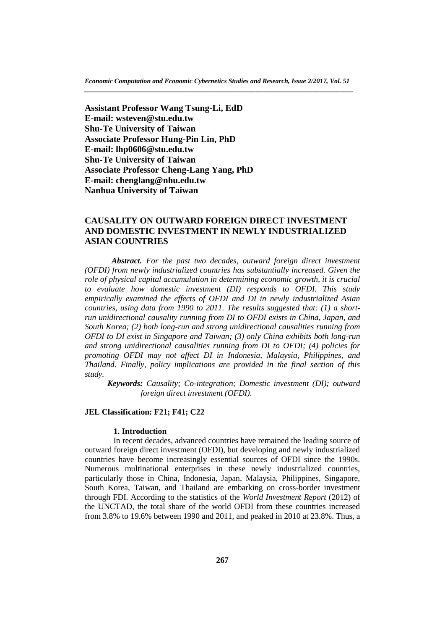**Assistant Professor Wang Tsung-Li, EdD E-mail: wsteven@stu.edu.tw Shu-Te University of Taiwan Associate Professor Hung-Pin Lin, PhD E-mail: lhp0606@stu.edu.tw Shu-Te University of Taiwan Associate Professor Cheng-Lang Yang, PhD E-mail: chenglang@nhu.edu.tw Nanhua University of Taiwan**

# **CAUSALITY ON OUTWARD FOREIGN DIRECT INVESTMENT AND DOMESTIC INVESTMENT IN NEWLY INDUSTRIALIZED ASIAN COUNTRIES**

*Abstract. For the past two decades, outward foreign direct investment (OFDI) from newly industrialized countries has substantially increased. Given the role of physical capital accumulation in determining economic growth, it is crucial to evaluate how domestic investment (DI) responds to OFDI. This study empirically examined the effects of OFDI and DI in newly industrialized Asian countries, using data from 1990 to 2011. The results suggested that: (1) a shortrun unidirectional causality running from DI to OFDI exists in China, Japan, and South Korea; (2) both long-run and strong unidirectional causalities running from OFDI to DI exist in Singapore and Taiwan; (3) only China exhibits both long-run and strong unidirectional causalities running from DI to OFDI; (4) policies for promoting OFDI may not affect DI in Indonesia, Malaysia, Philippines, and Thailand. Finally, policy implications are provided in the final section of this study.*

 *Keywords: Causality; Co-integration; Domestic investment (DI); outward foreign direct investment (OFDI).*

## **JEL Classification: F21; F41; C22**

## **1. Introduction**

In recent decades, advanced countries have remained the leading source of outward foreign direct investment (OFDI), but developing and newly industrialized countries have become increasingly essential sources of OFDI since the 1990s. Numerous multinational enterprises in these newly industrialized countries, particularly those in China, Indonesia, Japan, Malaysia, Philippines, Singapore, South Korea, Taiwan, and Thailand are embarking on cross-border investment through FDI. According to the statistics of the *World Investment Report* (2012) of the UNCTAD, the total share of the world OFDI from these countries increased from 3.8% to 19.6% between 1990 and 2011, and peaked in 2010 at 23.8%. Thus, a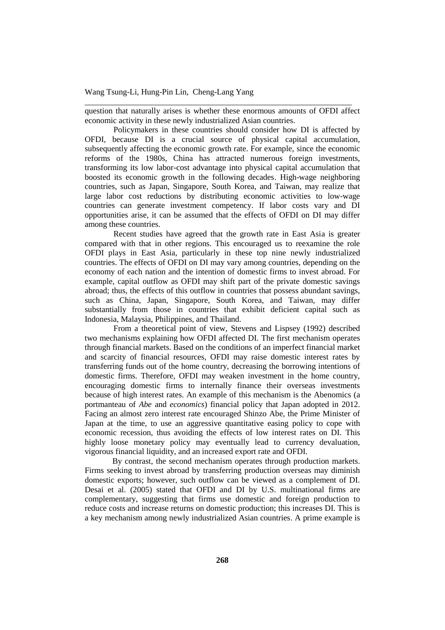question that naturally arises is whether these enormous amounts of OFDI affect economic activity in these newly industrialized Asian countries.

\_\_\_\_\_\_\_\_\_\_\_\_\_\_\_\_\_\_\_\_\_\_\_\_\_\_\_\_\_\_\_\_\_\_\_\_\_\_\_\_\_\_\_\_\_\_\_\_\_\_\_\_\_\_\_\_\_\_\_\_\_\_\_\_\_

Policymakers in these countries should consider how DI is affected by OFDI, because DI is a crucial source of physical capital accumulation, subsequently affecting the economic growth rate. For example, since the economic reforms of the 1980s, China has attracted numerous foreign investments, transforming its low labor-cost advantage into physical capital accumulation that boosted its economic growth in the following decades. High-wage neighboring countries, such as Japan, Singapore, South Korea, and Taiwan, may realize that large labor cost reductions by distributing economic activities to low-wage countries can generate investment competency. If labor costs vary and DI opportunities arise, it can be assumed that the effects of OFDI on DI may differ among these countries.

Recent studies have agreed that the growth rate in East Asia is greater compared with that in other regions. This encouraged us to reexamine the role OFDI plays in East Asia, particularly in these top nine newly industrialized countries. The effects of OFDI on DI may vary among countries, depending on the economy of each nation and the intention of domestic firms to invest abroad. For example, capital outflow as OFDI may shift part of the private domestic savings abroad; thus, the effects of this outflow in countries that possess abundant savings, such as China, Japan, Singapore, South Korea, and Taiwan, may differ substantially from those in countries that exhibit deficient capital such as Indonesia, Malaysia, Philippines, and Thailand.

From a theoretical point of view, Stevens and Lispsey (1992) described two mechanisms explaining how OFDI affected DI. The first mechanism operates through financial markets. Based on the conditions of an imperfect financial market and scarcity of financial resources, OFDI may raise domestic interest rates by transferring funds out of the home country, decreasing the borrowing intentions of domestic firms. Therefore, OFDI may weaken investment in the home country, encouraging domestic firms to internally finance their overseas investments because of high interest rates. An example of this mechanism is the Abenomics (a portmanteau of *Abe* and *economics*) financial policy that Japan adopted in 2012. Facing an almost zero interest rate encouraged Shinzo Abe, the Prime Minister of Japan at the time, to use an aggressive quantitative easing policy to cope with economic recession, thus avoiding the effects of low interest rates on DI. This highly loose monetary policy may eventually lead to currency devaluation, vigorous financial liquidity, and an increased export rate and OFDI.

By contrast, the second mechanism operates through production markets. Firms seeking to invest abroad by transferring production overseas may diminish domestic exports; however, such outflow can be viewed as a complement of DI. Desai et al. (2005) stated that OFDI and DI by U.S. multinational firms are complementary, suggesting that firms use domestic and foreign production to reduce costs and increase returns on domestic production; this increases DI. This is a key mechanism among newly industrialized Asian countries. A prime example is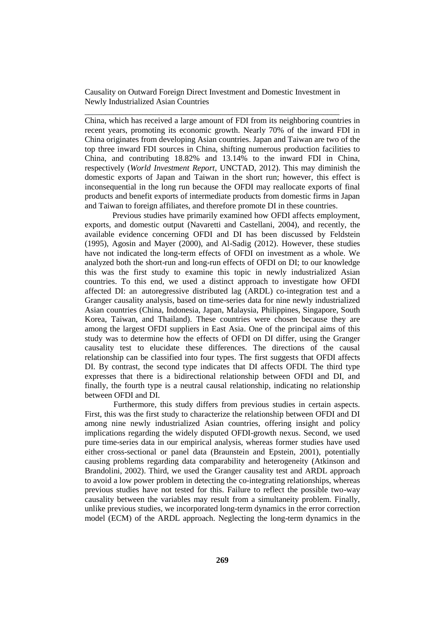China, which has received a large amount of FDI from its neighboring countries in recent years, promoting its economic growth. Nearly 70% of the inward FDI in China originates from developing Asian countries. Japan and Taiwan are two of the top three inward FDI sources in China, shifting numerous production facilities to China, and contributing 18.82% and 13.14% to the inward FDI in China, respectively (*World Investment Report*, UNCTAD, 2012). This may diminish the domestic exports of Japan and Taiwan in the short run; however, this effect is inconsequential in the long run because the OFDI may reallocate exports of final products and benefit exports of intermediate products from domestic firms in Japan and Taiwan to foreign affiliates, and therefore promote DI in these countries.

Previous studies have primarily examined how OFDI affects employment, exports, and domestic output (Navaretti and Castellani, 2004), and recently, the available evidence concerning OFDI and DI has been discussed by Feldstein (1995), Agosin and Mayer (2000), and Al-Sadig (2012). However, these studies have not indicated the long-term effects of OFDI on investment as a whole. We analyzed both the short-run and long-run effects of OFDI on DI; to our knowledge this was the first study to examine this topic in newly industrialized Asian countries. To this end, we used a distinct approach to investigate how OFDI affected DI: an autoregressive distributed lag (ARDL) co-integration test and a Granger causality analysis, based on time-series data for nine newly industrialized Asian countries (China, Indonesia, Japan, Malaysia, Philippines, Singapore, South Korea, Taiwan, and Thailand). These countries were chosen because they are among the largest OFDI suppliers in East Asia. One of the principal aims of this study was to determine how the effects of OFDI on DI differ, using the Granger causality test to elucidate these differences. The directions of the causal relationship can be classified into four types. The first suggests that OFDI affects DI. By contrast, the second type indicates that DI affects OFDI. The third type expresses that there is a bidirectional relationship between OFDI and DI, and finally, the fourth type is a neutral causal relationship, indicating no relationship between OFDI and DI.

Furthermore, this study differs from previous studies in certain aspects. First, this was the first study to characterize the relationship between OFDI and DI among nine newly industrialized Asian countries, offering insight and policy implications regarding the widely disputed OFDI-growth nexus. Second, we used pure time-series data in our empirical analysis, whereas former studies have used either cross-sectional or panel data (Braunstein and Epstein, 2001), potentially causing problems regarding data comparability and heterogeneity (Atkinson and Brandolini, 2002). Third, we used the Granger causality test and ARDL approach to avoid a low power problem in detecting the co-integrating relationships, whereas previous studies have not tested for this. Failure to reflect the possible two-way causality between the variables may result from a simultaneity problem. Finally, unlike previous studies, we incorporated long-term dynamics in the error correction model (ECM) of the ARDL approach. Neglecting the long-term dynamics in the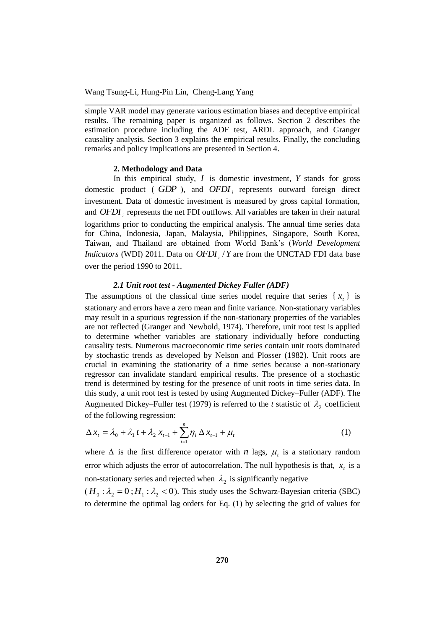simple VAR model may generate various estimation biases and deceptive empirical results. The remaining paper is organized as follows. Section 2 describes the estimation procedure including the ADF test, ARDL approach, and Granger causality analysis. Section 3 explains the empirical results. Finally, the concluding remarks and policy implications are presented in Section 4.

\_\_\_\_\_\_\_\_\_\_\_\_\_\_\_\_\_\_\_\_\_\_\_\_\_\_\_\_\_\_\_\_\_\_\_\_\_\_\_\_\_\_\_\_\_\_\_\_\_\_\_\_\_\_\_\_\_\_\_\_\_\_\_\_\_

## **2. Methodology and Data**

In this empirical study,  $I$  is domestic investment,  $Y$  stands for gross domestic product ( *GDP* ), and *OFDI<sup>i</sup>* represents outward foreign direct investment. Data of domestic investment is measured by gross capital formation, and *OFDI<sup>i</sup>* represents the net FDI outflows. All variables are taken in their natural logarithms prior to conducting the empirical analysis. The annual time series data for China, Indonesia, Japan, Malaysia, Philippines, Singapore, South Korea, Taiwan, and Thailand are obtained from World Bank's (*World Development Indicators* (WDI) 2011. Data on *OFDI<sup>i</sup>* /*Y* are from the UNCTAD FDI data base over the period 1990 to 2011.

## *2.1 Unit root test - Augmented Dickey Fuller (ADF)*

The assumptions of the classical time series model require that series  $\{x_t\}$  is stationary and errors have a zero mean and finite variance. Non-stationary variables may result in a spurious regression if the non-stationary properties of the variables are not reflected (Granger and Newbold, 1974). Therefore, unit root test is applied to determine whether variables are stationary individually before conducting causality tests. Numerous macroeconomic time series contain unit roots dominated by stochastic trends as developed by Nelson and Plosser (1982). Unit roots are crucial in examining the stationarity of a time series because a non-stationary regressor can invalidate standard empirical results. The presence of a stochastic trend is determined by testing for the presence of unit roots in time series data. In this study, a unit root test is tested by using Augmented Dickey–Fuller (ADF). The Augmented Dickey–Fuller test (1979) is referred to the *t* statistic of  $\lambda_2$  coefficient of the following regression:

$$
\Delta x_t = \lambda_0 + \lambda_1 t + \lambda_2 x_{t-1} + \sum_{i=1}^n \eta_i \Delta x_{t-1} + \mu_t
$$
 (1)

where  $\Delta$  is the first difference operator with *n* lags,  $\mu_t$  is a stationary random error which adjusts the error of autocorrelation. The null hypothesis is that,  $x<sub>t</sub>$  is a non-stationary series and rejected when  $\lambda_2$  is significantly negative

 $(H_0: \lambda_2 = 0; H_1: \lambda_2 < 0)$ . This study uses the Schwarz-Bayesian criteria (SBC) to determine the optimal lag orders for Eq. (1) by selecting the grid of values for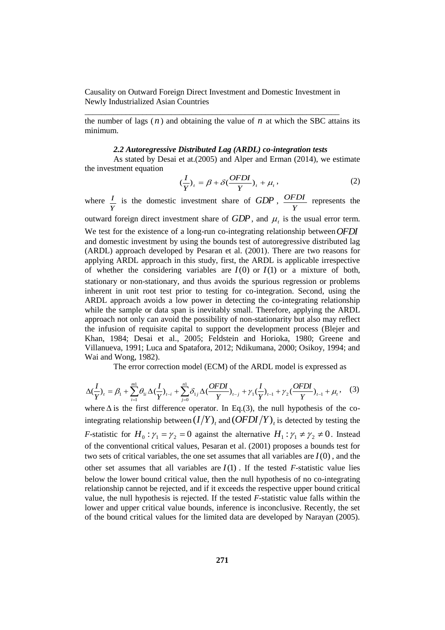the number of lags  $(n)$  and obtaining the value of  $n$  at which the SBC attains its minimum.

#### *2.2 Autoregressive Distributed Lag (ARDL) co-integration tests*

As stated by Desai et at.(2005) and Alper and Erman (2014), we estimate the investment equation

$$
(\frac{I}{Y})_t = \beta + \delta(\frac{OFDI}{Y})_t + \mu_t,
$$
\n(2)

where *Y I* is the domestic investment share of *GDP* , *Y OFDI* represents the outward foreign direct investment share of  $GDP$ , and  $\mu_t$  is the usual error term. We test for the existence of a long-run co-integrating relationship between *OFDI* and domestic investment by using the bounds test of autoregressive distributed lag (ARDL) approach developed by Pesaran et al. (2001). There are two reasons for applying ARDL approach in this study, first, the ARDL is applicable irrespective of whether the considering variables are  $I(0)$  or  $I(1)$  or a mixture of both, stationary or non-stationary, and thus avoids the spurious regression or problems inherent in unit root test prior to testing for co-integration. Second, using the ARDL approach avoids a low power in detecting the co-integrating relationship while the sample or data span is inevitably small. Therefore, applying the ARDL approach not only can avoid the possibility of non-stationarity but also may reflect

the infusion of requisite capital to support the development process (Blejer and Khan, 1984; Desai et al., 2005; Feldstein and Horioka, 1980; Greene and Villanueva, 1991; Luca and Spatafora, 2012; Ndikumana, 2000; Osikoy, 1994; and Wai and Wong, 1982).

The error correction model (ECM) of the ARDL model is expressed as

$$
\Delta(\frac{I}{Y})_t = \beta_1 + \sum_{i=1}^{m} \theta_{1i} \Delta(\frac{I}{Y})_{t-i} + \sum_{j=0}^{n} \delta_{1j} \Delta(\frac{OFDI}{Y})_{t-j} + \gamma_1(\frac{I}{Y})_{t-1} + \gamma_2(\frac{OFDI}{Y})_{t-1} + \mu_t, \quad (3)
$$

where  $\Delta$  is the first difference operator. In Eq.(3), the null hypothesis of the cointegrating relationship between  $(I/Y)$ <sub>t</sub> and  $(OFDI/Y)$ <sub>t</sub> is detected by testing the *F*-statistic for  $H_0: \gamma_1 = \gamma_2 = 0$  against the alternative  $H_1: \gamma_1 \neq \gamma_2 \neq 0$ . Instead of the conventional critical values, Pesaran et al. (2001) proposes a bounds test for two sets of critical variables, the one set assumes that all variables are  $I(0)$ , and the other set assumes that all variables are  $I(1)$ . If the tested *F*-statistic value lies below the lower bound critical value, then the null hypothesis of no co-integrating relationship cannot be rejected, and if it exceeds the respective upper bound critical value, the null hypothesis is rejected. If the tested *F*-statistic value falls within the lower and upper critical value bounds, inference is inconclusive. Recently, the set of the bound critical values for the limited data are developed by Narayan (2005).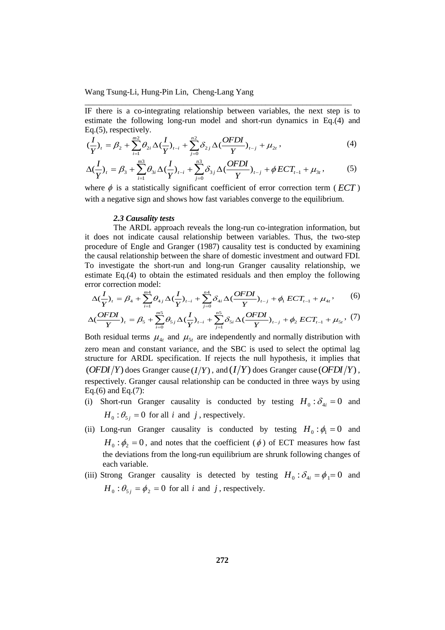IF there is a co-integrating relationship between variables, the next step is to estimate the following long-run model and short-run dynamics in Eq.(4) and Eq.(5), respectively.

\_\_\_\_\_\_\_\_\_\_\_\_\_\_\_\_\_\_\_\_\_\_\_\_\_\_\_\_\_\_\_\_\_\_\_\_\_\_\_\_\_\_\_\_\_\_\_\_\_\_\_\_\_\_\_\_\_\_\_\_\_\_\_\_\_

$$
(\frac{I}{Y})_t = \beta_2 + \sum_{i=1}^{m^2} \theta_{2i} \Delta (\frac{I}{Y})_{t-i} + \sum_{j=0}^{n^2} \delta_{2j} \Delta (\frac{OFDI}{Y})_{t-j} + \mu_{2t}, \qquad (4)
$$

$$
\Delta(\frac{I}{Y})_t = \beta_3 + \sum_{i=1}^{m3} \theta_{3i} \Delta(\frac{I}{Y})_{t-i} + \sum_{j=0}^{m3} \delta_{3j} \Delta(\frac{OFDI}{Y})_{t-j} + \phi ECT_{t-1} + \mu_{3t},
$$
 (5)

where  $\phi$  is a statistically significant coefficient of error correction term ( $ECT$ ) with a negative sign and shows how fast variables converge to the equilibrium.

## *2.3 Causality tests*

The ARDL approach reveals the long-run co-integration information, but it does not indicate causal relationship between variables. Thus, the two-step procedure of Engle and Granger (1987) causality test is conducted by examining the causal relationship between the share of domestic investment and outward FDI. To investigate the short-run and long-run Granger causality relationship, we estimate Eq.(4) to obtain the estimated residuals and then employ the following error correction model:

$$
\Delta(\frac{I}{Y})_t = \beta_4 + \sum_{i=1}^{m4} \theta_{4i} \Delta(\frac{I}{Y})_{t-i} + \sum_{j=0}^{n4} \delta_{4i} \Delta(\frac{OFDI}{Y})_{t-j} + \phi_1 ECT_{t-1} + \mu_{4t}, \qquad (6)
$$

$$
\Delta(\frac{OFDI}{Y})_{t} = \beta_{5} + \sum_{i=0}^{m5} \theta_{5i} \Delta(\frac{I}{Y})_{t-i} + \sum_{j=1}^{n5} \delta_{5i} \Delta(\frac{OFDI}{Y})_{t-j} + \phi_{2} ECT_{t-1} + \mu_{5t}, (7)
$$

Both residual terms  $\mu_{4t}$  and  $\mu_{5t}$  are independently and normally distribution with zero mean and constant variance, and the SBC is used to select the optimal lag structure for ARDL specification. If rejects the null hypothesis, it implies that  $(OFDI/Y)$  does Granger cause  $(I/Y)$ , and  $(I/Y)$  does Granger cause  $(OFDI/Y)$ , respectively. Granger causal relationship can be conducted in three ways by using Eq.(6) and Eq.(7):

- (i) Short-run Granger causality is conducted by testing  $H_0: \delta_{4i} = 0$  and  $H_0: \theta_{5j} = 0$  for all *i* and *j*, respectively.
- (ii) Long-run Granger causality is conducted by testing  $H_0: \phi_1 = 0$  and  $H_0: \phi_2 = 0$ , and notes that the coefficient ( $\phi$ ) of ECT measures how fast the deviations from the long-run equilibrium are shrunk following changes of each variable.
- (iii) Strong Granger causality is detected by testing  $H_0: \delta_{4i} = \phi_1 = 0$  and  $H_0: \theta_{5j} = \phi_2 = 0$  for all *i* and *j*, respectively.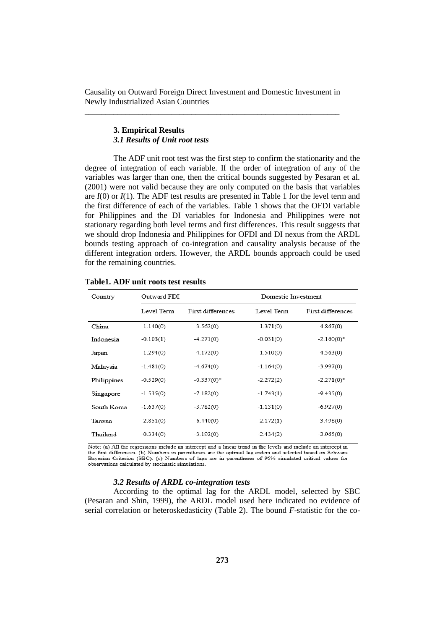## **3. Empirical Results** *3.1 Results of Unit root tests*

The ADF unit root test was the first step to confirm the stationarity and the degree of integration of each variable. If the order of integration of any of the variables was larger than one, then the critical bounds suggested by Pesaran et al. (2001) were not valid because they are only computed on the basis that variables are *I*(0) or *I*(1). The ADF test results are presented in Table 1 for the level term and the first difference of each of the variables. Table 1 shows that the OFDI variable for Philippines and the DI variables for Indonesia and Philippines were not stationary regarding both level terms and first differences. This result suggests that we should drop Indonesia and Philippines for OFDI and DI nexus from the ARDL bounds testing approach of co-integration and causality analysis because of the different integration orders. However, the ARDL bounds approach could be used for the remaining countries.

| Country     | Outward FDI |                   | Domestic Investment |                   |  |
|-------------|-------------|-------------------|---------------------|-------------------|--|
|             | Level Term  | First differences | Level Term          | First differences |  |
| China       | $-1.140(0)$ | $-3.562(0)$       | $-1.371(0)$         | $-4.867(0)$       |  |
| Indonesia   | $-0.103(1)$ | $-4.271(0)$       | $-0.031(0)$         | $-2.160(0)*$      |  |
| Japan       | $-1.294(0)$ | $-4.172(0)$       | $-1.510(0)$         | $-4.563(0)$       |  |
| Malaysia    | $-1.481(0)$ | $-4.674(0)$       | $-1.164(0)$         | $-3.997(0)$       |  |
| Philippines | $-0.529(0)$ | $-0.337(0)*$      | $-2.272(2)$         | $-2.271(0)^*$     |  |
| Singapore   | $-1.535(0)$ | $-7.182(0)$       | $-1.743(1)$         | $-9.435(0)$       |  |
| South Korea | $-1.637(0)$ | $-3.782(0)$       | $-1.131(0)$         | $-6.927(0)$       |  |
| Taiwan      | $-2.851(0)$ | $-6.440(0)$       | $-2.172(1)$         | $-3.498(0)$       |  |
| Thailand    | $-0.334(0)$ | $-3.192(0)$       | $-2.434(2)$         | $-2.965(0)$       |  |

## **Table1. ADF unit roots test results**

Note: (a) All the regressions include an intercept and a linear trend in the levels and include an intercept in the first differences. (b) Numbers in parentheses are the optimal lag orders and selected based on Schwarz Bayesian Criterion (SBC). (c) Numbers of lags are in parentheses of 95% simulated critical values for observations calculated by stochastic simulations

## *3.2 Results of ARDL co-integration tests*

According to the optimal lag for the ARDL model, selected by SBC (Pesaran and Shin, 1999), the ARDL model used here indicated no evidence of serial correlation or heteroskedasticity (Table 2). The bound *F*-statistic for the co-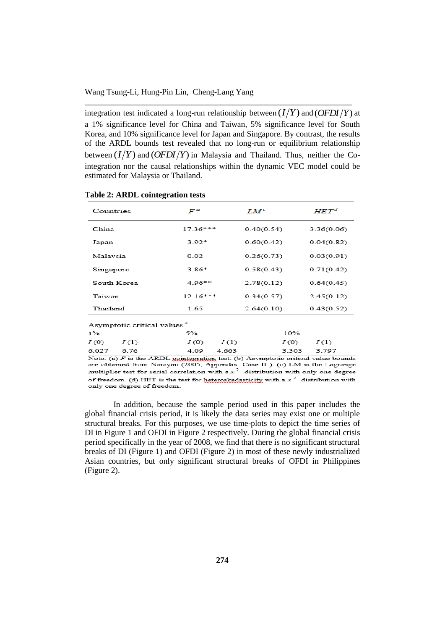integration test indicated a long-run relationship between  $(I/Y)$  and  $(OFDI/Y)$  at a 1% significance level for China and Taiwan, 5% significance level for South Korea, and 10% significance level for Japan and Singapore. By contrast, the results of the ARDL bounds test revealed that no long-run or equilibrium relationship between  $(I/Y)$  and  $(OFDI/Y)$  in Malaysia and Thailand. Thus, neither the Cointegration nor the causal relationships within the dynamic VEC model could be estimated for Malaysia or Thailand.

\_\_\_\_\_\_\_\_\_\_\_\_\_\_\_\_\_\_\_\_\_\_\_\_\_\_\_\_\_\_\_\_\_\_\_\_\_\_\_\_\_\_\_\_\_\_\_\_\_\_\_\_\_\_\_\_\_\_\_\_\_\_\_\_\_

| Countries                               | $F^a$      | $LM^c$     | $HET^d$        |  |  |  |  |  |
|-----------------------------------------|------------|------------|----------------|--|--|--|--|--|
| China                                   | 17.36***   | 0.40(0.54) | 3.36(0.06)     |  |  |  |  |  |
| Japan                                   | $3.92*$    | 0.60(0.42) | 0.04(0.82)     |  |  |  |  |  |
| Malaysia                                | 0.02       | 0.26(0.73) | 0.03(0.91)     |  |  |  |  |  |
| Singapore                               | $3.86*$    | 0.58(0.43) | 0.71(0.42)     |  |  |  |  |  |
| South Korea                             | $4.96**$   | 2.78(0.12) | 0.64(0.45)     |  |  |  |  |  |
| Taiwan                                  | $12.16***$ | 0.34(0.57) | 2.45(0.12)     |  |  |  |  |  |
| Thailand                                | 1.65       | 2.64(0.10) | 0.43(0.52)     |  |  |  |  |  |
| Asymptotic critical values <sup>5</sup> |            |            |                |  |  |  |  |  |
| $1\%$                                   | 5%         |            | 10%            |  |  |  |  |  |
| I(0)<br>I(1)                            | I(0)       | I(1)       | I(0)<br>I(1)   |  |  |  |  |  |
| 6.027<br>6.76                           | 4.09       | 4 663      | २ २०२<br>3.797 |  |  |  |  |  |

#### **Table 2: ARDL cointegration tests**

Note: (a)  $F$  is the ARDL cointegration test. (b) Asymptotic critical value bounds are obtained from Narayan (2005, Appendix: Case II ). (c) LM is the Lagrange multiplier test for serial correlation with a  $x^2$  distribution with only one degree of freedom. (d) HET is the test for heteroskedasticity with a  $x^2$  distribution with only one degree of freedom.

In addition, because the sample period used in this paper includes the global financial crisis period, it is likely the data series may exist one or multiple structural breaks. For this purposes, we use time-plots to depict the time series of DI in Figure 1 and OFDI in Figure 2 respectively. During the global financial crisis period specifically in the year of 2008, we find that there is no significant structural breaks of DI (Figure 1) and OFDI (Figure 2) in most of these newly industrialized Asian countries, but only significant structural breaks of OFDI in Philippines (Figure 2).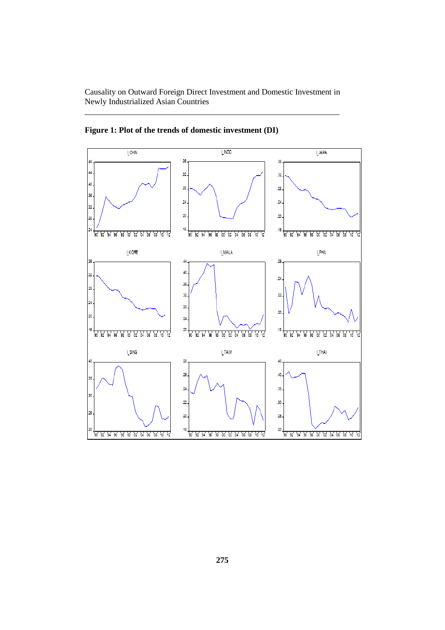

**Figure 1: Plot of the trends of domestic investment (DI)**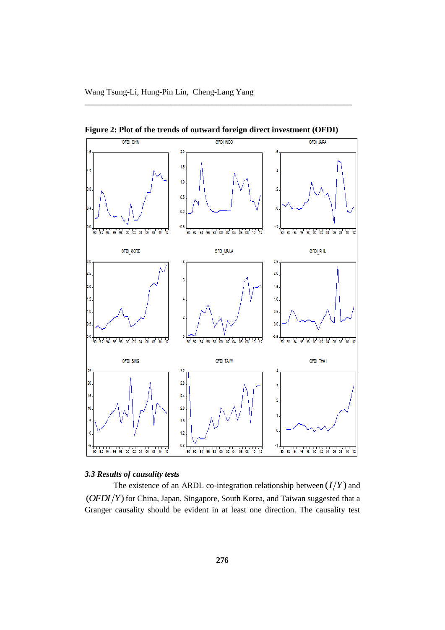

**Figure 2: Plot of the trends of outward foreign direct investment (OFDI)**

\_\_\_\_\_\_\_\_\_\_\_\_\_\_\_\_\_\_\_\_\_\_\_\_\_\_\_\_\_\_\_\_\_\_\_\_\_\_\_\_\_\_\_\_\_\_\_\_\_\_\_\_\_\_\_\_\_\_\_\_\_\_\_\_\_

# *3.3 Results of causality tests*

The existence of an ARDL co-integration relationship between  $(I/Y)$  and (*OFDI Y*) for China, Japan, Singapore, South Korea, and Taiwan suggested that a Granger causality should be evident in at least one direction. The causality test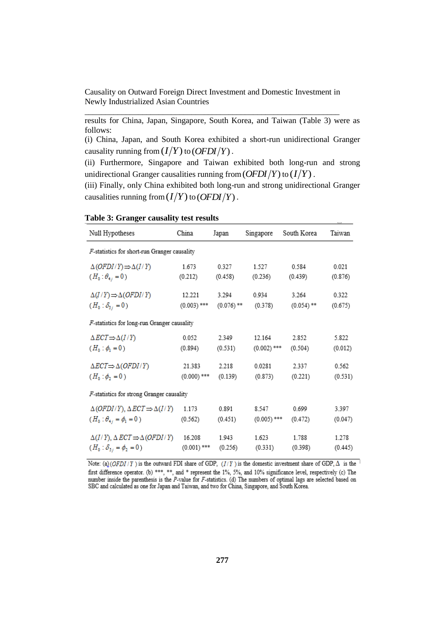results for China, Japan, Singapore, South Korea, and Taiwan (Table 3) were as follows:

(i) China, Japan, and South Korea exhibited a short-run unidirectional Granger causality running from  $(I/Y)$  to  $(OFDI/Y)$ .

(ii) Furthermore, Singapore and Taiwan exhibited both long-run and strong unidirectional Granger causalities running from  $(OFDI/Y)$  to  $(I/Y)$  .

(iii) Finally, only China exhibited both long-run and strong unidirectional Granger causalities running from  $(I/Y)$  to  $(OFDI/Y)$  .

| Null Hypotheses                                                    | China         | Japan                   | Singapore     | South Korea  | Taiwan  |  |  |  |  |
|--------------------------------------------------------------------|---------------|-------------------------|---------------|--------------|---------|--|--|--|--|
| F-statistics for short-run Granger causality                       |               |                         |               |              |         |  |  |  |  |
| $\Delta$ ( <i>OFDI</i> / Y) $\Rightarrow$ $\Delta$ ( <i>I</i> / Y) | 1.673         | 0.327                   | 1.527         | 0.584        | 0.021   |  |  |  |  |
| $(H_0: \theta_{4i} = 0)$                                           | (0.212)       | (0.458)                 | (0.236)       | (0.439)      | (0.876) |  |  |  |  |
| $\Delta(I/Y) \Rightarrow \Delta(OFDI/Y)$                           | 12.221        | 3.294                   | 0.934         | 3.264        | 0.322   |  |  |  |  |
| $(H_0: \delta_{5i} = 0)$                                           | $(0.003)$ *** | $(0.076)$ <sup>**</sup> | (0.378)       | $(0.054)$ ** | (0.675) |  |  |  |  |
| F-statistics for long-run Granger causality                        |               |                         |               |              |         |  |  |  |  |
| $\triangle ECT \Rightarrow \Delta(I/Y)$                            | 0.052         | 2.349                   | 12.164        | 2.852        | 5.822   |  |  |  |  |
| $(H_0: \phi_1 = 0)$                                                | (0.894)       | (0.531)                 | $(0.002)$ *** | (0.504)      | (0.012) |  |  |  |  |
| $\triangle ECT \Rightarrow \triangle (OFDI/Y)$                     | 21.383        | 2.218                   | 0.0281        | 2.337        | 0.562   |  |  |  |  |
| $(H_0: \phi_2 = 0)$                                                | $(0.000)$ *** | (0.139)                 | (0.873)       | (0.221)      | (0.531) |  |  |  |  |
| F-statistics for strong Granger causality                          |               |                         |               |              |         |  |  |  |  |
| $\Delta(OFDI/Y)$ , $\Delta ECT \Rightarrow \Delta(I/Y)$            | 1.173         | 0.891                   | 8.547         | 0.699        | 3.397   |  |  |  |  |
| $(H_0: \theta_{4i} = \phi_1 = 0)$                                  | (0.562)       | (0.451)                 | $(0.005)$ *** | (0.472)      | (0.047) |  |  |  |  |
| $\Delta(I/Y)$ , $\Delta ECT \Rightarrow \Delta(OFDI/Y)$            | 16.208        | 1.943                   | 1.623         | 1.788        | 1.278   |  |  |  |  |
| $(H_0: \delta_{5i} = \phi_2 = 0)$                                  | $(0.001)$ *** | (0.256)                 | (0.331)       | (0.398)      | (0.445) |  |  |  |  |

# **Table 3: Granger causality test results**

Note: (a) (OFDI/T) is the outward FDI share of GDP, (I/T) is the domestic investment share of GDP,  $\Delta$  is the first difference operator. (b) \*\*\*, \*\*, and \* represent the 1%, 5%, and 10% significance level, respectively (c) The number inside the parenthesis is the P-value for F-statistics. (d) The numbers of optimal lags are selected based on SBC and calculated as one for Japan and Taiwan, and two for China, Singapore, and South Korea.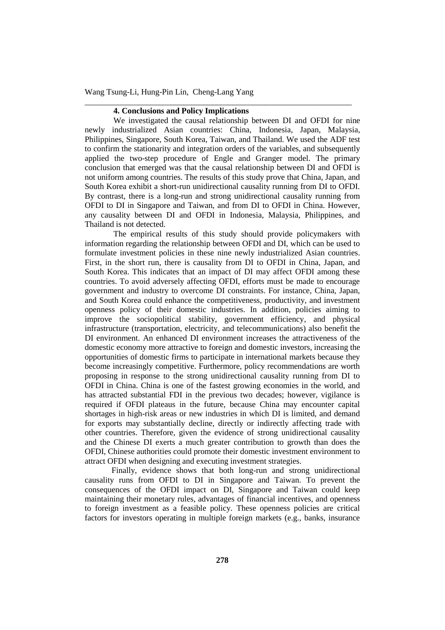# **4. Conclusions and Policy Implications**

We investigated the causal relationship between DI and OFDI for nine newly industrialized Asian countries: China, Indonesia, Japan, Malaysia, Philippines, Singapore, South Korea, Taiwan, and Thailand. We used the ADF test to confirm the stationarity and integration orders of the variables, and subsequently applied the two-step procedure of Engle and Granger model. The primary conclusion that emerged was that the causal relationship between DI and OFDI is not uniform among countries. The results of this study prove that China, Japan, and South Korea exhibit a short-run unidirectional causality running from DI to OFDI. By contrast, there is a long-run and strong unidirectional causality running from OFDI to DI in Singapore and Taiwan, and from DI to OFDI in China. However, any causality between DI and OFDI in Indonesia, Malaysia, Philippines, and Thailand is not detected.

\_\_\_\_\_\_\_\_\_\_\_\_\_\_\_\_\_\_\_\_\_\_\_\_\_\_\_\_\_\_\_\_\_\_\_\_\_\_\_\_\_\_\_\_\_\_\_\_\_\_\_\_\_\_\_\_\_\_\_\_\_\_\_\_\_

The empirical results of this study should provide policymakers with information regarding the relationship between OFDI and DI, which can be used to formulate investment policies in these nine newly industrialized Asian countries. First, in the short run, there is causality from DI to OFDI in China, Japan, and South Korea. This indicates that an impact of DI may affect OFDI among these countries. To avoid adversely affecting OFDI, efforts must be made to encourage government and industry to overcome DI constraints. For instance, China, Japan, and South Korea could enhance the competitiveness, productivity, and investment openness policy of their domestic industries. In addition, policies aiming to improve the sociopolitical stability, government efficiency, and physical infrastructure (transportation, electricity, and telecommunications) also benefit the DI environment. An enhanced DI environment increases the attractiveness of the domestic economy more attractive to foreign and domestic investors, increasing the opportunities of domestic firms to participate in international markets because they become increasingly competitive. Furthermore, policy recommendations are worth proposing in response to the strong unidirectional causality running from DI to OFDI in China. China is one of the fastest growing economies in the world, and has attracted substantial FDI in the previous two decades; however, vigilance is required if OFDI plateaus in the future, because China may encounter capital shortages in high-risk areas or new industries in which DI is limited, and demand for exports may substantially decline, directly or indirectly affecting trade with other countries. Therefore, given the evidence of strong unidirectional causality and the Chinese DI exerts a much greater contribution to growth than does the OFDI, Chinese authorities could promote their domestic investment environment to attract OFDI when designing and executing investment strategies.

Finally, evidence shows that both long-run and strong unidirectional causality runs from OFDI to DI in Singapore and Taiwan. To prevent the consequences of the OFDI impact on DI, Singapore and Taiwan could keep maintaining their monetary rules, advantages of financial incentives, and openness to foreign investment as a feasible policy. These openness policies are critical factors for investors operating in multiple foreign markets (e.g., banks, insurance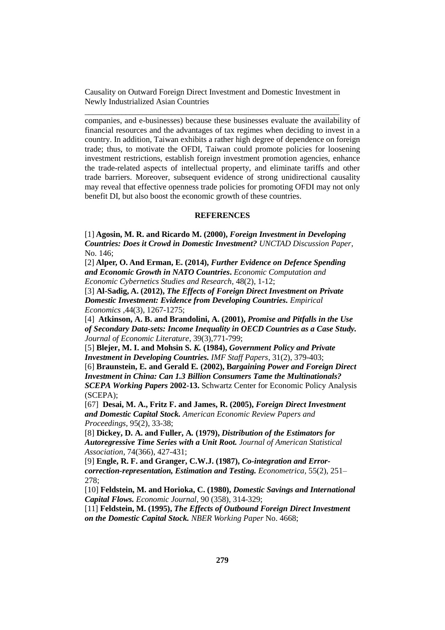companies, and e-businesses) because these businesses evaluate the availability of financial resources and the advantages of tax regimes when deciding to invest in a country. In addition, Taiwan exhibits a rather high degree of dependence on foreign trade; thus, to motivate the OFDI, Taiwan could promote policies for loosening investment restrictions, establish foreign investment promotion agencies, enhance the trade-related aspects of intellectual property, and eliminate tariffs and other trade barriers. Moreover, subsequent evidence of strong unidirectional causality may reveal that effective openness trade policies for promoting OFDI may not only benefit DI, but also boost the economic growth of these countries.

### **REFERENCES**

[1] **Agosin, M. R. and Ricardo M. (2000),** *Foreign Investment in Developing Countries: Does it Crowd in Domestic Investment? UNCTAD Discussion Paper*, No. 146;

[2] **Alper, O. And Erman, E. (2014),** *[Further Evidence on Defence](http://www.ecocyb.ase.ro/eng/Alper%20Ozun.pdf) Spending [and Economic Growth in NATO Countries](http://www.ecocyb.ase.ro/eng/Alper%20Ozun.pdf)***.** *Economic Computation and Economic Cybernetics Studies and Research,* 48(2), 1-12;

[3] **Al-Sadig, A. (2012),** *The Effects of Foreign Direct Investment on Private Domestic Investment: Evidence from Developing Countries. Empirical Economics* ,44(3), 1267-1275;

[4] **Atkinson, A. B. and Brandolini, A. (2001),** *Promise and Pitfalls in the Use of Secondary Data-sets: Income Inequality in OECD Countries as a Case Study. Journal of Economic Literature,* 39(3),771-799;

[5] **Blejer, M. I. and Mohsin S.** *K.* **(1984),** *Government Policy and Private Investment in Developing Countries. IMF Staff Papers,* 31(2), 379-403;

[6] **Braunstein, E***.* **and Gerald E***.* **(2002), B***argaining Power and Foreign Direct Investment in China: Can 1.3 Billion Consumers Tame the Multinationals? SCEPA Working Papers* **2002-13.** Schwartz Center for Economic Policy Analysis (SCEPA);

[67] **Desai, M. A., Fritz F. and James, R. (2005),** *Foreign Direct Investment and Domestic Capital Stock. American Economic Review Papers and Proceedings,* 95(2), 33-38;

[8] **Dickey, D. A. and Fuller, A***.* **(1979),** *Distribution of the Estimators for Autoregressive Time Series with a Unit Root. Journal of American Statistical Association,* 74(366), 427-431;

[9] **Engle, R. F. and Granger, C.W.J. (1987),** *Co-integration and Errorcorrection-representation, Estimation and Testing. Econometrica,* 55(2), 251– 278;

[10] **Feldstein, M. and Horioka, C. (1980),** *Domestic Savings and International Capital Flows. Economic Journal*, 90 (358), 314-329;

[11] **Feldstein, M. (1995),** *The Effects of Outbound Foreign Direct Investment on the Domestic Capital Stock. NBER Working Paper* No. 4668;